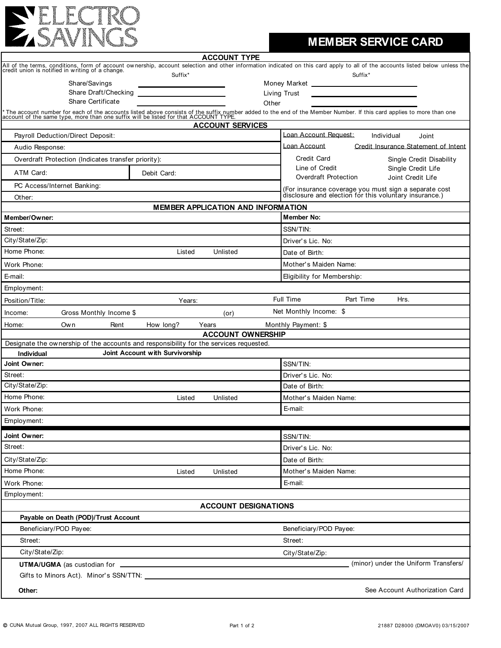## PELECTRO

## **MEMBER SERVICE CARD**

|                                                                                       | <b>ACCOUNT TYPE</b>                       |                                                                                                                                                                                                                                          |
|---------------------------------------------------------------------------------------|-------------------------------------------|------------------------------------------------------------------------------------------------------------------------------------------------------------------------------------------------------------------------------------------|
|                                                                                       | Suffix*                                   | All of the terms, conditions, form of account ownership, account selection and other information indicated on this card apply to all of the accounts listed below unless the credit union is notified in writing of a change.<br>Suffix* |
| Share/Savings                                                                         |                                           | Money Market ______                                                                                                                                                                                                                      |
| Share Draft/Checking                                                                  |                                           | <b>Living Trust</b>                                                                                                                                                                                                                      |
| <b>Share Certificate</b>                                                              |                                           | Other                                                                                                                                                                                                                                    |
|                                                                                       |                                           | * The account number for each of the accounts listed above consists of the suffix number added to the end of the Member Number. If this card applies to more than one account of the same type, more than one suffix will be l           |
|                                                                                       | <b>ACCOUNT SERVICES</b>                   |                                                                                                                                                                                                                                          |
| Payroll Deduction/Direct Deposit:                                                     |                                           | Loan Account Request:<br>Individual<br>Joint                                                                                                                                                                                             |
| Audio Response:                                                                       |                                           | Loan Account<br>Credit Insurance Statement of Intent                                                                                                                                                                                     |
| Overdraft Protection (Indicates transfer priority):                                   |                                           | Credit Card<br>Single Credit Disability                                                                                                                                                                                                  |
| ATM Card:<br>Debit Card:                                                              |                                           | Line of Credit<br>Single Credit Life<br><b>Overdraft Protection</b><br>Joint Credit Life                                                                                                                                                 |
| PC Access/Internet Banking:                                                           |                                           | (For insurance coverage you must sign a separate cost                                                                                                                                                                                    |
| Other:                                                                                |                                           | disclosure and election for this voluntary insurance.)                                                                                                                                                                                   |
|                                                                                       | <b>MEMBER APPLICATION AND INFORMATION</b> |                                                                                                                                                                                                                                          |
| Member/Owner:                                                                         |                                           | <b>Member No:</b>                                                                                                                                                                                                                        |
| Street:                                                                               |                                           | SSN/TIN:                                                                                                                                                                                                                                 |
| City/State/Zip:                                                                       |                                           | Driver's Lic. No:                                                                                                                                                                                                                        |
| Home Phone:                                                                           | Listed<br>Unlisted                        | Date of Birth:                                                                                                                                                                                                                           |
| Work Phone:                                                                           |                                           | Mother's Maiden Name:                                                                                                                                                                                                                    |
| E-mail:                                                                               |                                           | Eligibility for Membership:                                                                                                                                                                                                              |
| Employment:                                                                           |                                           |                                                                                                                                                                                                                                          |
| Position/Title:                                                                       | Years:                                    | Full Time<br>Part Time<br>Hrs.                                                                                                                                                                                                           |
| Gross Monthly Income \$<br>Income:                                                    | (or)                                      | Net Monthly Income: \$                                                                                                                                                                                                                   |
| Own<br>Rent<br>Home:                                                                  | Years<br>How long?                        | Monthly Payment: \$                                                                                                                                                                                                                      |
|                                                                                       | <b>ACCOUNT OWNERSHIP</b>                  |                                                                                                                                                                                                                                          |
| Designate the ownership of the accounts and responsibility for the services requested |                                           |                                                                                                                                                                                                                                          |
| <b>Individual</b>                                                                     | Joint Account with Survivorship           |                                                                                                                                                                                                                                          |
| Joint Owner:                                                                          |                                           | SSN/TIN:                                                                                                                                                                                                                                 |
| Street:                                                                               |                                           | Driver's Lic. No:                                                                                                                                                                                                                        |
| City/State/Zip:                                                                       |                                           | Date of Birth:                                                                                                                                                                                                                           |
| Home Phone:                                                                           | Unlisted<br>Listed                        | Mother's Maiden Name:                                                                                                                                                                                                                    |
| Work Phone:                                                                           |                                           | E-mail:                                                                                                                                                                                                                                  |
| Employment:                                                                           |                                           |                                                                                                                                                                                                                                          |
| Joint Owner:                                                                          |                                           | SSN/TIN:                                                                                                                                                                                                                                 |
| Street:                                                                               |                                           | Driver's Lic. No:                                                                                                                                                                                                                        |
| City/State/Zip:                                                                       |                                           | Date of Birth:                                                                                                                                                                                                                           |
| Home Phone:                                                                           | Listed<br>Unlisted                        | Mother's Maiden Name:                                                                                                                                                                                                                    |
| Work Phone:                                                                           |                                           | E-mail:                                                                                                                                                                                                                                  |
| Employment:                                                                           |                                           |                                                                                                                                                                                                                                          |
|                                                                                       | <b>ACCOUNT DESIGNATIONS</b>               |                                                                                                                                                                                                                                          |
| Payable on Death (POD)/Trust Account                                                  |                                           |                                                                                                                                                                                                                                          |
| Beneficiary/POD Payee:                                                                |                                           | Beneficiary/POD Payee:                                                                                                                                                                                                                   |
| Street:                                                                               |                                           | Street:                                                                                                                                                                                                                                  |
| City/State/Zip:                                                                       |                                           | City/State/Zip:                                                                                                                                                                                                                          |
| <b>UTMA/UGMA</b> (as custodian for _                                                  |                                           | (minor) under the Uniform Transfers/                                                                                                                                                                                                     |
| Gifts to Minors Act). Minor's SSN/TTN: _                                              |                                           |                                                                                                                                                                                                                                          |
| Other:                                                                                |                                           | See Account Authorization Card                                                                                                                                                                                                           |